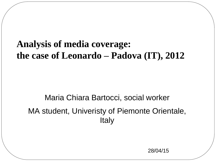## **Analysis of media coverage: the case of Leonardo – Padova (IT), 2012**

## Maria Chiara Bartocci, social worker MA student, Univeristy of Piemonte Orientale, Italy

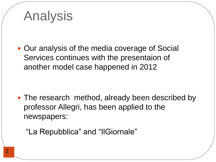# Analysis

• Our analysis of the media coverage of Social Services continues with the presentaion of another model case happened in 2012

• The research method, already been described by professor Allegri, has been applied to the newspapers:

"La Repubblica" and "IlGiornale"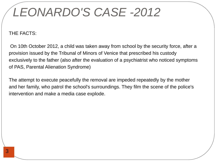# *LEONARDO'S CASE -2012*

## THE FACTS:

On 10th October 2012, a child was taken away from school by the security force, after a provision issued by the Tribunal of Minors of Venice that prescribed his custody exclusively to the father (also after the evaluation of a psychiatrist who noticed symptoms of PAS, Parental Alienation Syndrome)

The attempt to execute peacefully the removal are impeded repeatedly by the mother and her family, who patrol the school's surroundings. They film the scene of the police's intervention and make a media case explode.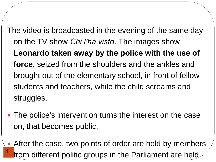The video is broadcasted in the evening of the same day on the TV show *Chi l'ha visto.* The images show **Leonardo taken away by the police with the use of force**, seized from the shoulders and the ankles and brought out of the elementary school, in front of fellow students and teachers, while the child screams and struggles.

- The police's intervention turns the interest on the case on, that becomes public.
- 4 • After the case, two points of order are held by members from different politic groups in the Parliament are held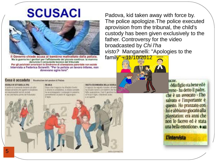# **SCUSACI**



Il Governo chiede scusa al bambino maltrattato dalla polizia. Ma la guerra tra i genitori per l'affidamento del piccolo continua: la mamma denuncia il consulente tecnico del tribunale Per gli psichiatri americani la Sindrome di allenazione parentale non esiste Intervista a Federica Sciarelli: "Per la polizia un lavoro infame, non dovevano agire loro"

#### Cosa è accaduto Riccetrazione del geestore di Padava

#### SOMA IN CITTABRILE (PE)

with tip which is a procedule to solve it zingua parsizón (ha agenti in borghese, an negotivatible tarnicli somali a uno piamamo pietto del Milionale.

#### 15,836.5

Dopo che il supozzo ha nitutoto finistraa securit in possidenza, lo studeo pessideha accompagnitis i compagni in pointis. periodi ande al padia il Disciandoni

#### Ill rapporte ha seduità d'éadre: ha teteato rozeo e zii materni che fully oppositions. Casi II govitor di facza il figlio, chiedendo aroba a an acente

Padova, kid taken away with force by. The police apologize.The police executed aprovision from the tribunal, the child's custody has been given exclusively to the father. Controversy for the video broadcasted by *Chi l'ha visto?* Manganelli: "Apologies to the



ncne.

«Mio figlio sta bene ed è reno - ha detto il padre, che è un avvocato - l'ho salvato e l'importante è questo. Ho pranzato con lui e abbiamo giocato alla playstation: era anni che non lo facevo ed è stata una bella emozione». · AGI

## **L'intervista**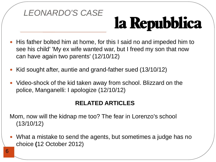

# la Repubblica

- His father bolted him at home, for this I said no and impeded him to see his child' 'My ex wife wanted war, but I freed my son that now can have again two parents' (12/10/12)
- Kid sought after, auntie and grand-father sued (13/10/12)
- Video-shock of the kid taken away from school. Blizzard on the police, Manganelli: I apologize (12/10/12)

## **RELATED ARTICLES**

Mom, now will the kidnap me too? The fear in Lorenzo's school (13/10/12)

 What a mistake to send the agents, but sometimes a judge has no choice **(**12 October 2012)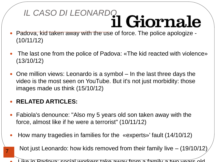# IL CASO DI LEONARDO **Il Giornale**

- Padova, kid taken away with the use of force. The police apologize (10/11/12)
- The last one from the police of Padova: «The kid reacted with violence» (13/10/12)
- One million views: Leonardo is a symbol In the last three days the video is the most seen on YouTube. But it's not just morbidity: those images made us think (15/10/12)

## **RELATED ARTICLES:**

7

- Fabiola's denounce: "Also my 5 years old son taken away with the force, almost like if he were a terrorist" (10/11/12)
- How many tragedies in families for the «experts»' fault (14/10/12)

Not just Leonardo: how kids removed from their family live – (19/10/12)

Like in Padova: social workers take away from a family a two years old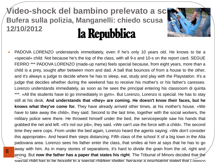## **Video-shock del bambino prelevato a sci Bufera sulla polizia, Manganelli: chiedo scusa 12/10/2012** la Repubblica

8



 PADOVA LORENZO understands immediately, even if he's only 10 years old. He knows to be a «special» child. Not because he's the top of the class, with all 9-s and 10-s on the report card. SEGUE FERRO \*\*\* PADOVA LORENZO (made-up name) feels special because, from eight years, more than a child is a prey, sought after between mom and dad. A ball that bounces of from a house to the other, and it's always a judge to decide where he has to sleep, eat, study and play with the Playstation. It's a judge that decides whether during the weekend has to receive his mother's or his father's caresses. Lorenzo understands immediately, as soon as he sees the principal entering his classroom di quinta \*\*\*. «All the students have to go immediately in gym». But Lorenzo, Lorenzo is special. He has to stay still at his desk. **And understands that «they» are coming. He doesn't know their faces, but he knows what they've come for.** They have already arrived other times, at his mother's house. «We have to take away the child», they said. Second to the last time, together with the social workers, the military police were there. He throwed himself under the bed, the servicepeople saw his hands that grabbed the net and left. «It's not our job», they said. «We can't use the force with a child». The second time they were cops. From under the bed again, Lorenzo heard the agents saying: «We don't consider this appropriate». And heard their steps distancing. Fifth class of the school X of a big town in the Alta padovana area. Lorenzo sees his father enter the class, that smiles at him at says that he has to go away with him. As in many stories of separations, it's hard to divide the grain from the oil, right and wrong. But **now the father has a paper that states his right**. The Tribunal of Minors decided that the special child has to be brought to a special children shelter, because a psychiatrist stated that Lorenzo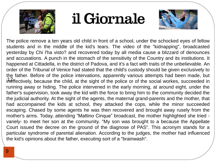

# il Giornale



ineffectively, because the child, at the sight of the police or of the social workes, succeeded in The police remove a ten years old child in front of a school, under the schocked eyes of fellow students and in the middle of the kid's tears. The video of the "kidnapping", broadcasted yesterday by Chi l'ha visto? and recovered today by all media cause a blizzard of denounces and accusations. A punch in the stomach of the sensitivity of the Country and its institutions. It happened at Cittadella, in the district of Padova, and it's a fact with traits of the unbelievable. An order of the Tribunal of Venice had stated that the child's custody should be given exclusively to the father. Before of the police intervations, apparently various attempts had been made, but running away or hiding. The police intervened in the early morning, at around eight, under the father's supervision, took away the kid with the force to bring him to the community decided the the judicial authority. At the sight of the agents, the maternal grand-parents and the mother, that had accompained the kids at school, they attacked the cops, while the minor succeeded escaping. Chased by some agents he was then recovered and brought away rusely from the mother's arms. Today, attending "Mattino Cinque" broadcast, the mother highlighted she tried vanely- to meet her son at the community. "My son was brought to a because the Appellate Court issued the decree on the ground of the diagnose of PAS". This acronym stands for a particular syndrome of parental alienation. According to the judges, the mother had influenced the kid's opinions about the father, executing sort of a "brainwash".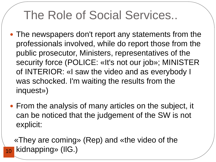# The Role of Social Services..

- The newspapers don't report any statements from the professionals involved, while do report those from the public prosecutor, Ministers, representatives of the security force (POLICE: «It's not our job»; MINISTER of INTERIOR: «I saw the video and as everybody I was schocked. I'm waiting the results from the inquest»)
- From the analysis of many articles on the subject, it can be noticed that the judgement of the SW is not explicit:

 «They are coming» (Rep) and «the video of the kidnapping» (IlG.)

10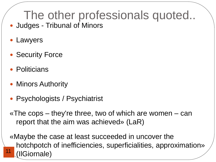# The other professionals quoted...

- Judges Tribunal of Minors
- Lawyers
- Security Force
- **Politicians**
- Minors Authority
- Psychologists / Psychiatrist

«The cops – they're three, two of which are women – can report that the aim was achieved» (LaR)

11 «Maybe the case at least succeeded in uncover the hotchpotch of inefficiencies, superficialities, approximation» (IlGiornale)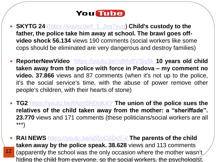## **You Tube**

- **SKYTG 24** [\(https://youtu.be/l\\_1\\_Jvq7yug\)](https://youtu.be/l_1_Jvq7yug) **Child's custody to the father, the police take him away at school. The brawl goes offvideo shock 56.134** views 190 comments (social workers like some cops should be eliminated are very dangerous and destroy families)
- **ReporterNewVideo** <https://youtu.be/xdMyBVSiy9k> **10 years old child taken away from the police with force in Padova – my comment no video. 37.866** views and 87 comments (when it's not up to the police, it's the social service's time, with the abuse of power remove other people's children, with their hearts of stone)
- **TG2** <https://youtu.be/6fqm5NDqKXY> **[T](https://youtu.be/6fqm5NDqKXY)he union of the police sues the relatives of the child taken away from the mother: a "sheriffade". 23.770** views and 171 comments (these politicians/social workers are all \*\*\*)
- 12 **RAI NEWS** <https://youtu.be/q55oCdDcE-k>**The parents of the child taken away by the police speak. 38.628** views and 113 comments (apparently the school was the only occasion where the mother wasn't hiding the child from everyone, so the social workers, the psychologist,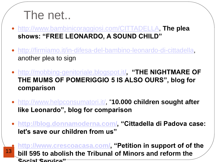## The net..

- [http://www.bambinicoraggiosi.com/CITTADELLA,](http://www.bambinicoraggiosi.com/CITTADELLA) **The plea shows: "FREE LEONARDO, A SOUND CHILD"**
- <http://firmiamo.it/in-difesa-del-bambino-leonardo-di-cittadella>, another plea to sign
- [http://mobbing-genitoriale.blogspot.it](http://mobbing-genitoriale.blogspot.it/)**[/,](http://mobbing-genitoriale.blogspot.it/) "THE NIGHTMARE OF THE MUMS OF POMERIGGIO 5 IS ALSO OURS", blog for comparison**
- <http://www.helpconsumatori.it/>, "**10.000 children sought after like Leonardo", blog for comparison**
- **<http://blog.donnamoderna.com/>, "Cittadella di Padova case: let's save our children from us"**

13

 **[http://www.crescoacasa.com/,](http://www.crescoacasa.com/) "Petition in support of of the bill 595 to abolish the Tribunal of Minors and reform the Social Service"**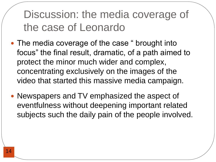Discussion: the media coverage of the case of Leonardo

- The media coverage of the case " brought into focus" the final result, dramatic, of a path aimed to protect the minor much wider and complex, concentrating exclusively on the images of the video that started this massive media campaign.
- Newspapers and TV emphasized the aspect of eventfulness without deepening important related subjects such the daily pain of the people involved.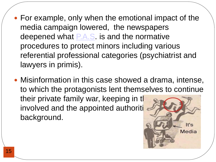- For example, only when the emotional impact of the media campaign lowered, the newspapers deepened what [P.A.S.](http://www.alienazione.genitoriale.com/) is and the normative procedures to protect minors including various referential professional categories (psychiatrist and lawyers in primis).
- Misinformation in this case showed a drama, intense, to which the protagonists lent themselves to continue their private family war, keeping in the involved and the appointed authoriti background.

It's

Media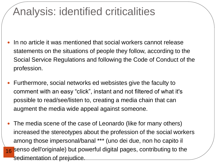## Analysis: identified criticalities

- In no article it was mentioned that social workers cannot release statements on the situations of people they follow, according to the Social Service Regulations and following the Code of Conduct of the profession.
- Furthermore, social networks ed websistes give the faculty to comment with an easy "click", instant and not filtered of what it's possible to read/see/listen to, creating a media chain that can augment the media wide appeal against someone.
- 16 Senso dell'originale) but powerful digital pages, contributing to the The media scene of the case of Leonardo (like for many others) increased the stereotypes about the profession of the social workers among those impersonal/banal \*\*\* (uno dei due, non ho capito il sedimentation of prejudice.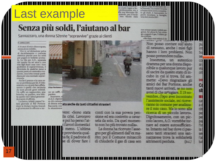# Last example Senza più soldi, l'aiutano al bar

on studio legale a Boprofessionista era a ella sua Mercedes Sik quando, per il fondo reso viscido dalla

le Ferrovie, e la madre Ernesta a Parma dove aveva completato gli studi. A Sannazzaro in pochi ricordano la famiglia,<br>una zia è morta 2007.

#### Sannazzaro, una donna 52enne "sopravvive" grazie ai clienti

#### **B SANNAZZARO**

A 54 anni di età è disoccupata, senza alcun reddito.

Vive in un'abitazione priva di riscaldamento e corrente elettrica perchè non ha soldi per pagare le bollette arretrate. La vita per A.O., separata dal marito da sei anni e con due figli fuori casa con i loro problemi di sopravvivenza, è diventata da qualche mese a questa parte un autentico tormento, una lotta ormai quotidiana per una normale sopravvivenza.

Anche il pranzo e la cena sono un problema per lei. Il vitto minimo su cui può fare affidamento è quello che racimola da tanti piccoli gesti solidali. Un caffè, un cappuccino, una brioche, un panino, una bibita: quello che l'altrui generosità si sente di offrirle.

La donna, infatti, passa l'intera giornata al Bar Portone dove la titolare Azziza Assouli e gli avventori le offrono a tur-

17



di A.O. dipende re chi conosce Racconta con la situazioone

### di donna sola a ra amche da tambi citta fini stra nieri

vere: «Sono stata lla crisi. Lavoravo e poi ho perso l'atlavori domestici meno. L'ultima provvisoria qualia fa: il nadrone di se di dover fare

conti con la sua povera pensione ed era costretto a cavarsela da solo. Da quel momento non ho più trovato nulla».

La donna ha ricevuto l'assegno per gli alimenti dall'ex marito; poi il Comune minacciò di chiuderle il gas di casa sen

non avesse sanato i debiti pregressi. Ed allora fu l'ex coniuge a pagarle il gas, l'ultimo ge-<br>sto solidale. «Ma dopo aver estinto il de-

> Non posso contare sull'aiuto di nessuno, anche i miei figli hanno i loro problemi. Non posso pretendere nulla».

Insomma, un autentico dramma per una donna disponibile a qualunque lavoro pur di uscire da questo stato di incubo in cui si trova. Ed ammette: «Devo ringraziare gli amici del Bar Portone, anche tanti nuovi arrivati, se no non avrei di che ny mgiare. Il 19 novembre, dopo aver incontrato assistente sociale, mi ranno in comune per analizzare il mio caso. Ma io sono alla ricerca di un piccolo lavoro». Dignitosamente, con un piccolo lacoro, A.O. vorrebbe tornare ad essere autosufficiente. Intanto nel bar dove ci passano tanti stranieri una sannazzarese trova la solidarietà altrimenti perduta.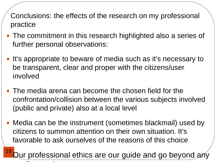Conclusions: the effects of the research on my professional practice

- The commitment in this research highlighted also a series of further personal observations:
- It's appropriate to beware of media such as it's necessary to be transparent, clear and proper with the citizens/user involved
- The media arena can become the chosen field for the confrontation/collision between the various subjects involved (public and private) also at a local level
- Media can be the instrument (sometimes blackmail) used by citizens to summon attention on their own situation. It's favorable to ask ourselves of the reasons of this choice

18 tur professional ethics are our guide and go beyond any media attack attack attack attack attack attack attack attack attack attack attack attack attack attack attack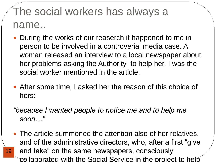## The social workers has always a name..

- During the works of our reaserch it happened to me in person to be involved in a controverial media case. A woman released an interview to a local newspaper about her problems asking the Authority to help her. I was the social worker mentioned in the article.
- After some time, I asked her the reason of this choice of hers:
- *"because I wanted people to notice me and to help me soon…"*
- 19 • The article summoned the attention also of her relatives, and of the administrative directors, who, after a first "give and take" on the same newspapers, consciously collaborated with the Social Service in the project to help